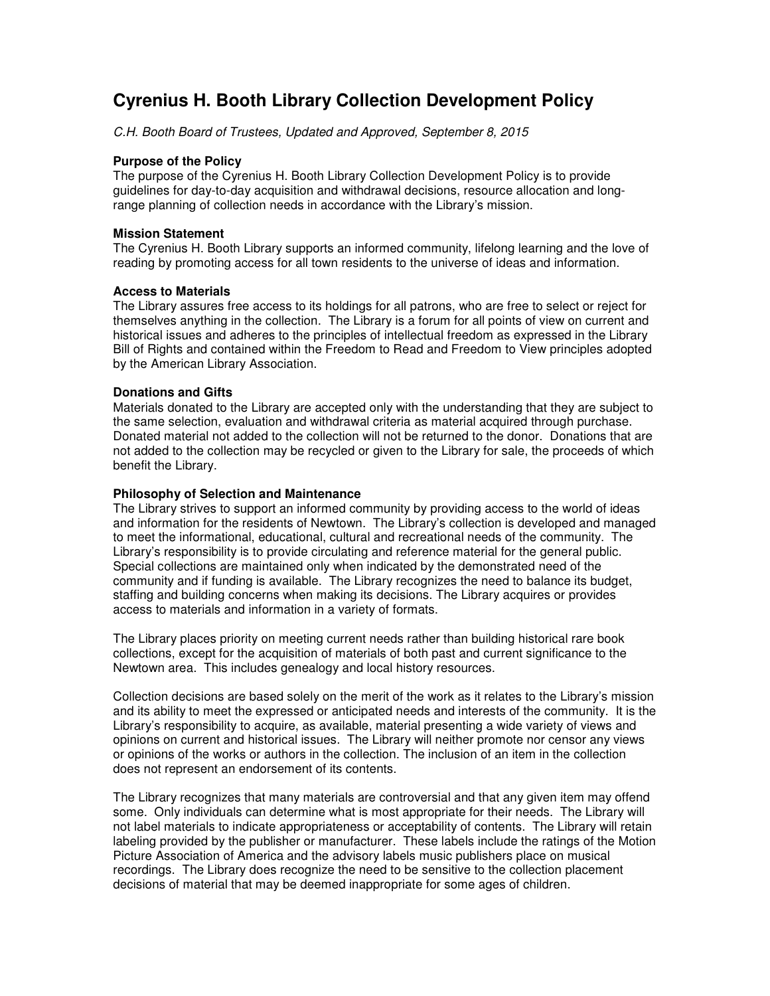# **Cyrenius H. Booth Library Collection Development Policy**

C.H. Booth Board of Trustees, Updated and Approved, September 8, 2015

## **Purpose of the Policy**

The purpose of the Cyrenius H. Booth Library Collection Development Policy is to provide guidelines for day-to-day acquisition and withdrawal decisions, resource allocation and longrange planning of collection needs in accordance with the Library's mission.

## **Mission Statement**

The Cyrenius H. Booth Library supports an informed community, lifelong learning and the love of reading by promoting access for all town residents to the universe of ideas and information.

# **Access to Materials**

The Library assures free access to its holdings for all patrons, who are free to select or reject for themselves anything in the collection. The Library is a forum for all points of view on current and historical issues and adheres to the principles of intellectual freedom as expressed in the Library Bill of Rights and contained within the Freedom to Read and Freedom to View principles adopted by the American Library Association.

# **Donations and Gifts**

Materials donated to the Library are accepted only with the understanding that they are subject to the same selection, evaluation and withdrawal criteria as material acquired through purchase. Donated material not added to the collection will not be returned to the donor. Donations that are not added to the collection may be recycled or given to the Library for sale, the proceeds of which benefit the Library.

# **Philosophy of Selection and Maintenance**

The Library strives to support an informed community by providing access to the world of ideas and information for the residents of Newtown. The Library's collection is developed and managed to meet the informational, educational, cultural and recreational needs of the community. The Library's responsibility is to provide circulating and reference material for the general public. Special collections are maintained only when indicated by the demonstrated need of the community and if funding is available. The Library recognizes the need to balance its budget, staffing and building concerns when making its decisions. The Library acquires or provides access to materials and information in a variety of formats.

The Library places priority on meeting current needs rather than building historical rare book collections, except for the acquisition of materials of both past and current significance to the Newtown area. This includes genealogy and local history resources.

Collection decisions are based solely on the merit of the work as it relates to the Library's mission and its ability to meet the expressed or anticipated needs and interests of the community. It is the Library's responsibility to acquire, as available, material presenting a wide variety of views and opinions on current and historical issues. The Library will neither promote nor censor any views or opinions of the works or authors in the collection. The inclusion of an item in the collection does not represent an endorsement of its contents.

The Library recognizes that many materials are controversial and that any given item may offend some. Only individuals can determine what is most appropriate for their needs. The Library will not label materials to indicate appropriateness or acceptability of contents. The Library will retain labeling provided by the publisher or manufacturer. These labels include the ratings of the Motion Picture Association of America and the advisory labels music publishers place on musical recordings. The Library does recognize the need to be sensitive to the collection placement decisions of material that may be deemed inappropriate for some ages of children.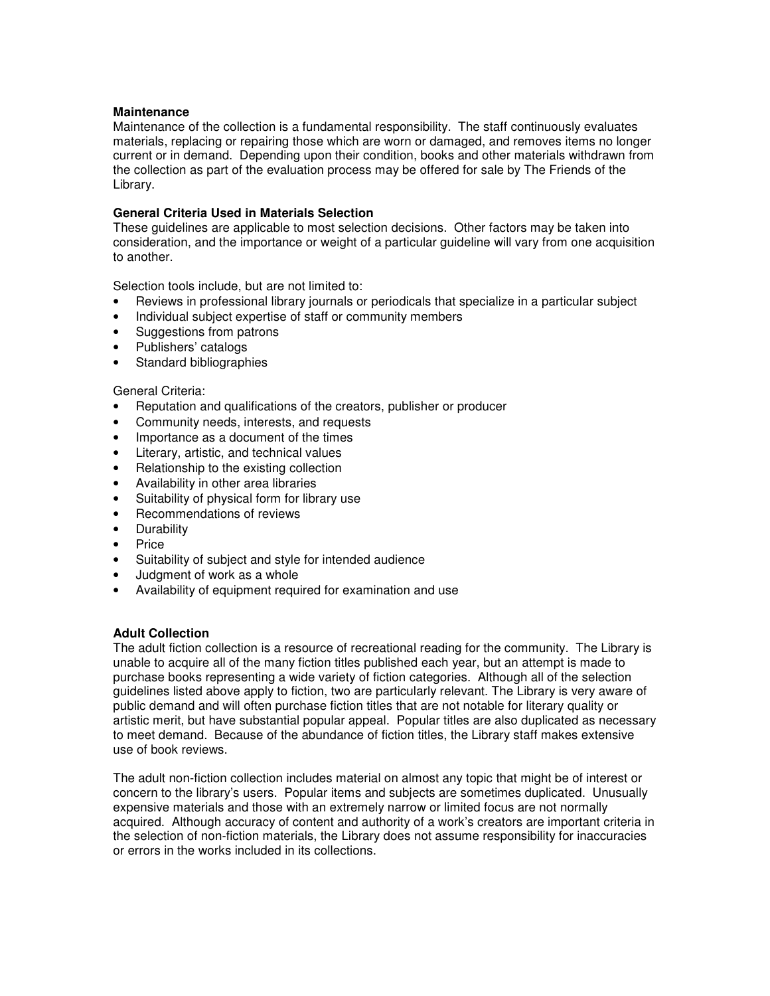#### **Maintenance**

Maintenance of the collection is a fundamental responsibility. The staff continuously evaluates materials, replacing or repairing those which are worn or damaged, and removes items no longer current or in demand. Depending upon their condition, books and other materials withdrawn from the collection as part of the evaluation process may be offered for sale by The Friends of the Library.

## **General Criteria Used in Materials Selection**

These guidelines are applicable to most selection decisions. Other factors may be taken into consideration, and the importance or weight of a particular guideline will vary from one acquisition to another.

Selection tools include, but are not limited to:

- Reviews in professional library journals or periodicals that specialize in a particular subject
- Individual subject expertise of staff or community members
- Suggestions from patrons
- Publishers' catalogs
- Standard bibliographies

#### General Criteria:

- Reputation and qualifications of the creators, publisher or producer
- Community needs, interests, and requests
- Importance as a document of the times
- Literary, artistic, and technical values
- Relationship to the existing collection
- Availability in other area libraries
- Suitability of physical form for library use
- Recommendations of reviews
- Durability
- Price
- Suitability of subject and style for intended audience
- Judgment of work as a whole
- Availability of equipment required for examination and use

#### **Adult Collection**

The adult fiction collection is a resource of recreational reading for the community. The Library is unable to acquire all of the many fiction titles published each year, but an attempt is made to purchase books representing a wide variety of fiction categories. Although all of the selection guidelines listed above apply to fiction, two are particularly relevant. The Library is very aware of public demand and will often purchase fiction titles that are not notable for literary quality or artistic merit, but have substantial popular appeal. Popular titles are also duplicated as necessary to meet demand. Because of the abundance of fiction titles, the Library staff makes extensive use of book reviews.

The adult non-fiction collection includes material on almost any topic that might be of interest or concern to the library's users. Popular items and subjects are sometimes duplicated. Unusually expensive materials and those with an extremely narrow or limited focus are not normally acquired. Although accuracy of content and authority of a work's creators are important criteria in the selection of non-fiction materials, the Library does not assume responsibility for inaccuracies or errors in the works included in its collections.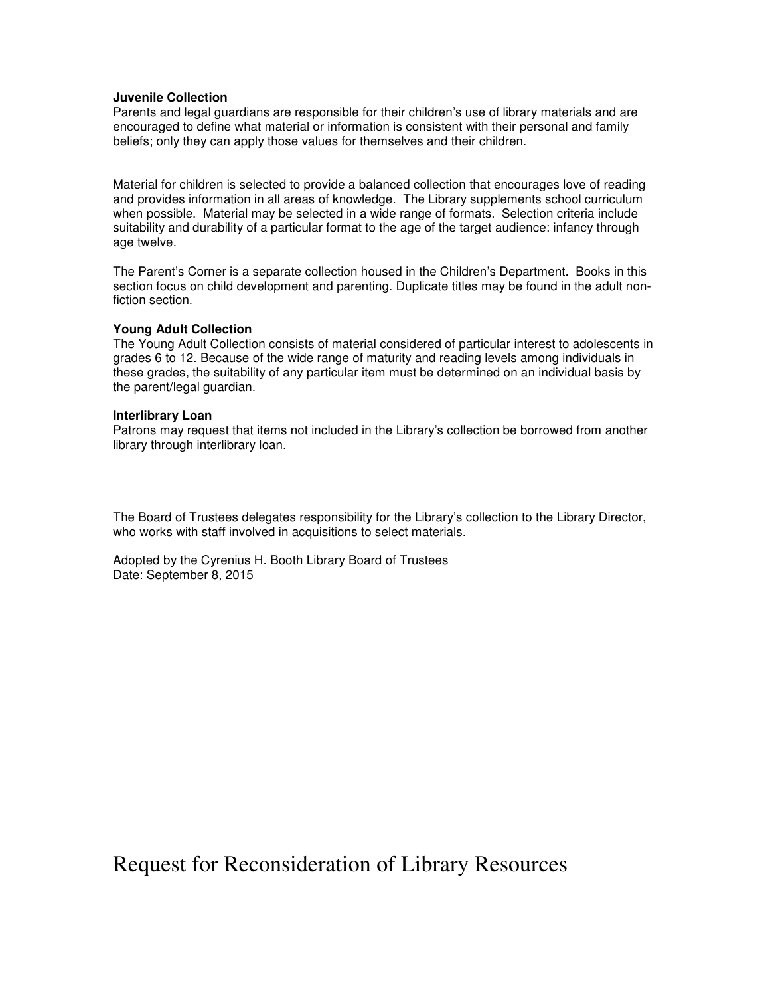#### **Juvenile Collection**

Parents and legal guardians are responsible for their children's use of library materials and are encouraged to define what material or information is consistent with their personal and family beliefs; only they can apply those values for themselves and their children.

Material for children is selected to provide a balanced collection that encourages love of reading and provides information in all areas of knowledge. The Library supplements school curriculum when possible. Material may be selected in a wide range of formats. Selection criteria include suitability and durability of a particular format to the age of the target audience: infancy through age twelve.

The Parent's Corner is a separate collection housed in the Children's Department. Books in this section focus on child development and parenting. Duplicate titles may be found in the adult nonfiction section.

#### **Young Adult Collection**

The Young Adult Collection consists of material considered of particular interest to adolescents in grades 6 to 12. Because of the wide range of maturity and reading levels among individuals in these grades, the suitability of any particular item must be determined on an individual basis by the parent/legal guardian.

#### **Interlibrary Loan**

Patrons may request that items not included in the Library's collection be borrowed from another library through interlibrary loan.

The Board of Trustees delegates responsibility for the Library's collection to the Library Director, who works with staff involved in acquisitions to select materials.

Adopted by the Cyrenius H. Booth Library Board of Trustees Date: September 8, 2015

Request for Reconsideration of Library Resources